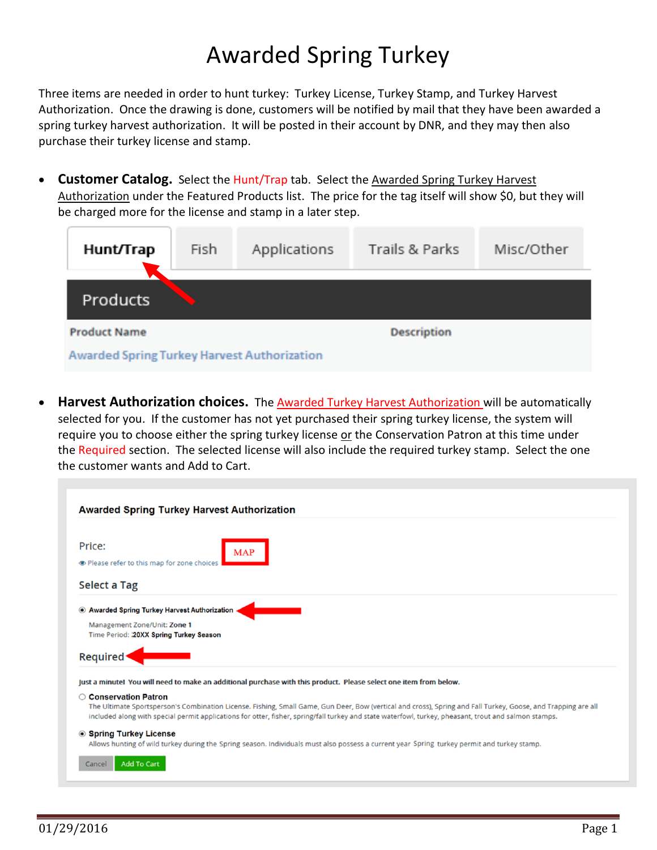## Awarded Spring Turkey

Three items are needed in order to hunt turkey: Turkey License, Turkey Stamp, and Turkey Harvest Authorization. Once the drawing is done, customers will be notified by mail that they have been awarded a spring turkey harvest authorization. It will be posted in their account by DNR, and they may then also purchase their turkey license and stamp.

• **Customer Catalog.** Select the Hunt/Trap tab. Select the Awarded Spring Turkey Harvest Authorization under the Featured Products list. The price for the tag itself will show \$0, but they will be charged more for the license and stamp in a later step.

| Hunt/Trap                                          | Fish | Applications | Trails & Parks     | Misc/Other |  |  |
|----------------------------------------------------|------|--------------|--------------------|------------|--|--|
| Products                                           |      |              |                    |            |  |  |
| <b>Product Name</b>                                |      |              | <b>Description</b> |            |  |  |
| <b>Awarded Spring Turkey Harvest Authorization</b> |      |              |                    |            |  |  |

• **Harvest Authorization choices.** The Awarded Turkey Harvest Authorization will be automatically selected for you. If the customer has not yet purchased their spring turkey license, the system will require you to choose either the spring turkey license or the Conservation Patron at this time under the Required section. The selected license will also include the required turkey stamp. Select the one the customer wants and Add to Cart.